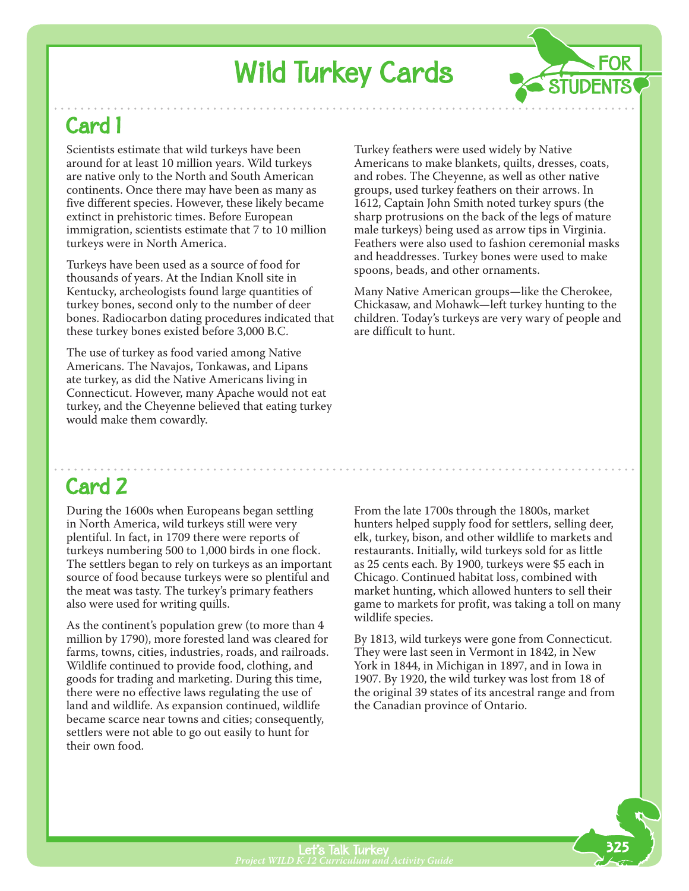## Wild Turkey Cards

### Card 1

Scientists estimate that wild turkeys have been around for at least 10 million years. Wild turkeys are native only to the North and South American continents. Once there may have been as many as five different species. However, these likely became extinct in prehistoric times. Before European immigration, scientists estimate that 7 to 10 million turkeys were in North America.

Turkeys have been used as a source of food for thousands of years. At the Indian Knoll site in Kentucky, archeologists found large quantities of turkey bones, second only to the number of deer bones. Radiocarbon dating procedures indicated that these turkey bones existed before 3,000 B.C.

The use of turkey as food varied among Native Americans. The Navajos, Tonkawas, and Lipans ate turkey, as did the Native Americans living in Connecticut. However, many Apache would not eat turkey, and the Cheyenne believed that eating turkey would make them cowardly.

Turkey feathers were used widely by Native Americans to make blankets, quilts, dresses, coats, and robes. The Cheyenne, as well as other native groups, used turkey feathers on their arrows. In 1612, Captain John Smith noted turkey spurs (the sharp protrusions on the back of the legs of mature male turkeys) being used as arrow tips in Virginia. Feathers were also used to fashion ceremonial masks and headdresses. Turkey bones were used to make spoons, beads, and other ornaments.

**FOR** 

STUDENTS

Many Native American groups—like the Cherokee, Chickasaw, and Mohawk—left turkey hunting to the children. Today's turkeys are very wary of people and are difficult to hunt.

#### Card 2

During the 1600s when Europeans began settling in North America, wild turkeys still were very plentiful. In fact, in 1709 there were reports of turkeys numbering 500 to 1,000 birds in one flock. The settlers began to rely on turkeys as an important source of food because turkeys were so plentiful and the meat was tasty. The turkey's primary feathers also were used for writing quills.

As the continent's population grew (to more than 4 million by 1790), more forested land was cleared for farms, towns, cities, industries, roads, and railroads. Wildlife continued to provide food, clothing, and goods for trading and marketing. During this time, there were no effective laws regulating the use of land and wildlife. As expansion continued, wildlife became scarce near towns and cities; consequently, settlers were not able to go out easily to hunt for their own food.

From the late 1700s through the 1800s, market hunters helped supply food for settlers, selling deer, elk, turkey, bison, and other wildlife to markets and restaurants. Initially, wild turkeys sold for as little as 25 cents each. By 1900, turkeys were \$5 each in Chicago. Continued habitat loss, combined with market hunting, which allowed hunters to sell their game to markets for profit, was taking a toll on many wildlife species.

By 1813, wild turkeys were gone from Connecticut. They were last seen in Vermont in 1842, in New York in 1844, in Michigan in 1897, and in Iowa in 1907. By 1920, the wild turkey was lost from 18 of the original 39 states of its ancestral range and from the Canadian province of Ontario.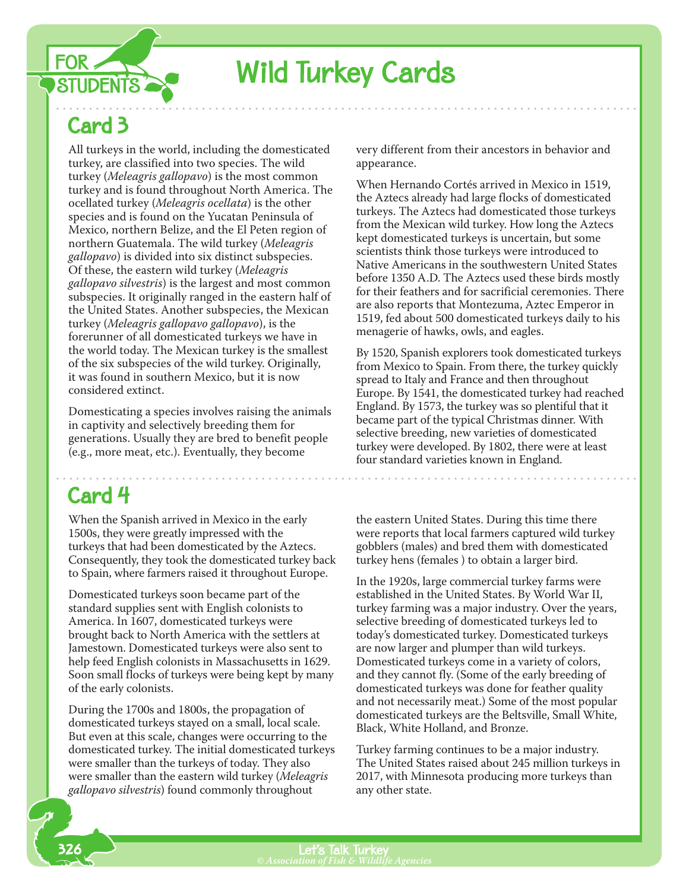

## **Wild Turkey Cards**

## Card 3

All turkeys in the world, including the domesticated turkey, are classified into two species. The wild turkey (*Meleagris gallopavo*) is the most common turkey and is found throughout North America. The ocellated turkey (*Meleagris ocellata*) is the other species and is found on the Yucatan Peninsula of Mexico, northern Belize, and the El Peten region of northern Guatemala. The wild turkey (*Meleagris gallopavo*) is divided into six distinct subspecies. Of these, the eastern wild turkey (*Meleagris gallopavo silvestris*) is the largest and most common subspecies. It originally ranged in the eastern half of the United States. Another subspecies, the Mexican turkey (*Meleagris gallopavo gallopavo*), is the forerunner of all domesticated turkeys we have in the world today. The Mexican turkey is the smallest of the six subspecies of the wild turkey. Originally, it was found in southern Mexico, but it is now considered extinct.

Domesticating a species involves raising the animals in captivity and selectively breeding them for generations. Usually they are bred to benefit people (e.g., more meat, etc.). Eventually, they become

#### Card 4

When the Spanish arrived in Mexico in the early 1500s, they were greatly impressed with the turkeys that had been domesticated by the Aztecs. Consequently, they took the domesticated turkey back to Spain, where farmers raised it throughout Europe.

Domesticated turkeys soon became part of the standard supplies sent with English colonists to America. In 1607, domesticated turkeys were brought back to North America with the settlers at Jamestown. Domesticated turkeys were also sent to help feed English colonists in Massachusetts in 1629. Soon small flocks of turkeys were being kept by many of the early colonists.

During the 1700s and 1800s, the propagation of domesticated turkeys stayed on a small, local scale. But even at this scale, changes were occurring to the domesticated turkey. The initial domesticated turkeys were smaller than the turkeys of today. They also were smaller than the eastern wild turkey (*Meleagris gallopavo silvestris*) found commonly throughout

very different from their ancestors in behavior and appearance.

When Hernando Cortés arrived in Mexico in 1519, the Aztecs already had large flocks of domesticated turkeys. The Aztecs had domesticated those turkeys from the Mexican wild turkey. How long the Aztecs kept domesticated turkeys is uncertain, but some scientists think those turkeys were introduced to Native Americans in the southwestern United States before 1350 A.D. The Aztecs used these birds mostly for their feathers and for sacrificial ceremonies. There are also reports that Montezuma, Aztec Emperor in 1519, fed about 500 domesticated turkeys daily to his menagerie of hawks, owls, and eagles.

By 1520, Spanish explorers took domesticated turkeys from Mexico to Spain. From there, the turkey quickly spread to Italy and France and then throughout Europe. By 1541, the domesticated turkey had reached England. By 1573, the turkey was so plentiful that it became part of the typical Christmas dinner. With selective breeding, new varieties of domesticated turkey were developed. By 1802, there were at least four standard varieties known in England.

the eastern United States. During this time there were reports that local farmers captured wild turkey gobblers (males) and bred them with domesticated turkey hens (females ) to obtain a larger bird.

In the 1920s, large commercial turkey farms were established in the United States. By World War II, turkey farming was a major industry. Over the years, selective breeding of domesticated turkeys led to today's domesticated turkey. Domesticated turkeys are now larger and plumper than wild turkeys. Domesticated turkeys come in a variety of colors, and they cannot fly. (Some of the early breeding of domesticated turkeys was done for feather quality and not necessarily meat.) Some of the most popular domesticated turkeys are the Beltsville, Small White, Black, White Holland, and Bronze.

Turkey farming continues to be a major industry. The United States raised about 245 million turkeys in 2017, with Minnesota producing more turkeys than any other state.